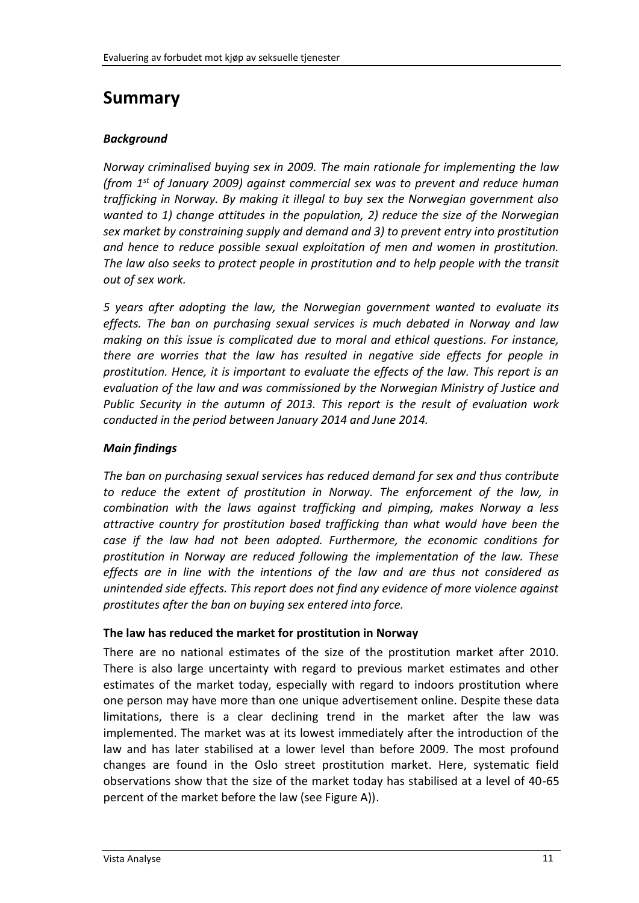# **Summary**

### *Background*

*Norway criminalised buying sex in 2009. The main rationale for implementing the law (from 1st of January 2009) against commercial sex was to prevent and reduce human trafficking in Norway. By making it illegal to buy sex the Norwegian government also wanted to 1) change attitudes in the population, 2) reduce the size of the Norwegian sex market by constraining supply and demand and 3) to prevent entry into prostitution and hence to reduce possible sexual exploitation of men and women in prostitution. The law also seeks to protect people in prostitution and to help people with the transit out of sex work.*

*5 years after adopting the law, the Norwegian government wanted to evaluate its effects. The ban on purchasing sexual services is much debated in Norway and law making on this issue is complicated due to moral and ethical questions. For instance, there are worries that the law has resulted in negative side effects for people in prostitution. Hence, it is important to evaluate the effects of the law. This report is an evaluation of the law and was commissioned by the Norwegian Ministry of Justice and Public Security in the autumn of 2013. This report is the result of evaluation work conducted in the period between January 2014 and June 2014.*

# *Main findings*

*The ban on purchasing sexual services has reduced demand for sex and thus contribute to reduce the extent of prostitution in Norway. The enforcement of the law, in combination with the laws against trafficking and pimping, makes Norway a less attractive country for prostitution based trafficking than what would have been the case if the law had not been adopted. Furthermore, the economic conditions for prostitution in Norway are reduced following the implementation of the law. These effects are in line with the intentions of the law and are thus not considered as unintended side effects. This report does not find any evidence of more violence against prostitutes after the ban on buying sex entered into force.*

### **The law has reduced the market for prostitution in Norway**

There are no national estimates of the size of the prostitution market after 2010. There is also large uncertainty with regard to previous market estimates and other estimates of the market today, especially with regard to indoors prostitution where one person may have more than one unique advertisement online. Despite these data limitations, there is a clear declining trend in the market after the law was implemented. The market was at its lowest immediately after the introduction of the law and has later stabilised at a lower level than before 2009. The most profound changes are found in the Oslo street prostitution market. Here, systematic field observations show that the size of the market today has stabilised at a level of 40-65 percent of the market before the law (see Figure A)).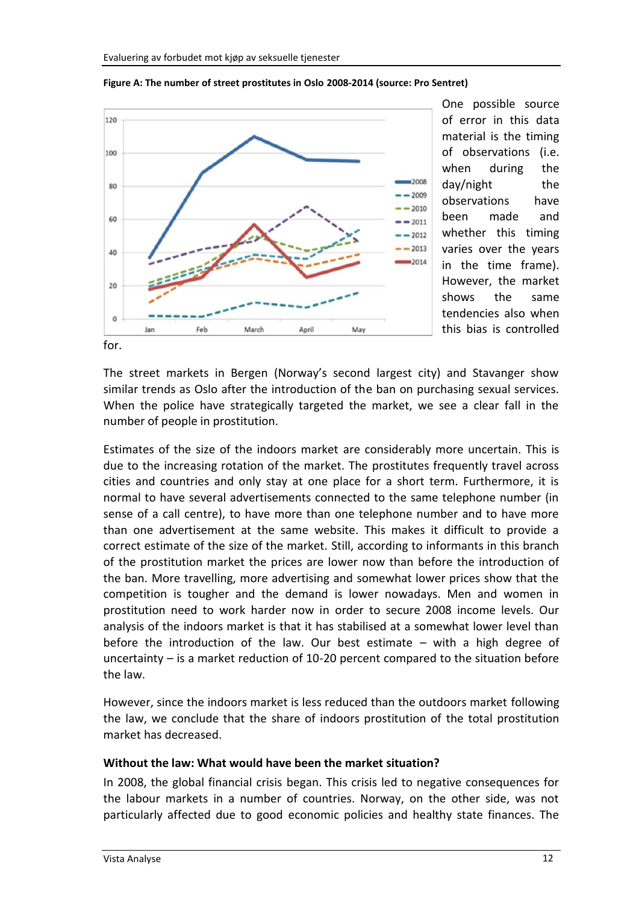

**Figure A: The number of street prostitutes in Oslo 2008-2014 (source: Pro Sentret)**

One possible source of error in this data material is the timing of observations (i.e. when during the day/night the observations have been made and whether this timing varies over the years in the time frame). However, the market shows the same tendencies also when this bias is controlled

for.

The street markets in Bergen (Norway's second largest city) and Stavanger show similar trends as Oslo after the introduction of the ban on purchasing sexual services. When the police have strategically targeted the market, we see a clear fall in the number of people in prostitution.

Estimates of the size of the indoors market are considerably more uncertain. This is due to the increasing rotation of the market. The prostitutes frequently travel across cities and countries and only stay at one place for a short term. Furthermore, it is normal to have several advertisements connected to the same telephone number (in sense of a call centre), to have more than one telephone number and to have more than one advertisement at the same website. This makes it difficult to provide a correct estimate of the size of the market. Still, according to informants in this branch of the prostitution market the prices are lower now than before the introduction of the ban. More travelling, more advertising and somewhat lower prices show that the competition is tougher and the demand is lower nowadays. Men and women in prostitution need to work harder now in order to secure 2008 income levels. Our analysis of the indoors market is that it has stabilised at a somewhat lower level than before the introduction of the law. Our best estimate – with a high degree of uncertainty – is a market reduction of 10-20 percent compared to the situation before the law.

However, since the indoors market is less reduced than the outdoors market following the law, we conclude that the share of indoors prostitution of the total prostitution market has decreased.

### **Without the law: What would have been the market situation?**

In 2008, the global financial crisis began. This crisis led to negative consequences for the labour markets in a number of countries. Norway, on the other side, was not particularly affected due to good economic policies and healthy state finances. The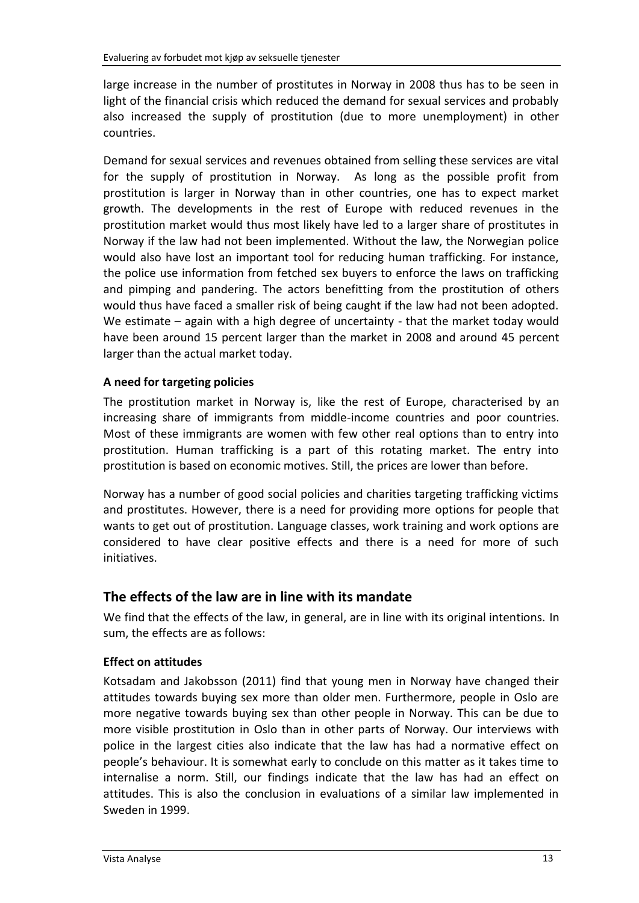large increase in the number of prostitutes in Norway in 2008 thus has to be seen in light of the financial crisis which reduced the demand for sexual services and probably also increased the supply of prostitution (due to more unemployment) in other countries.

Demand for sexual services and revenues obtained from selling these services are vital for the supply of prostitution in Norway. As long as the possible profit from prostitution is larger in Norway than in other countries, one has to expect market growth. The developments in the rest of Europe with reduced revenues in the prostitution market would thus most likely have led to a larger share of prostitutes in Norway if the law had not been implemented. Without the law, the Norwegian police would also have lost an important tool for reducing human trafficking. For instance, the police use information from fetched sex buyers to enforce the laws on trafficking and pimping and pandering. The actors benefitting from the prostitution of others would thus have faced a smaller risk of being caught if the law had not been adopted. We estimate – again with a high degree of uncertainty - that the market today would have been around 15 percent larger than the market in 2008 and around 45 percent larger than the actual market today.

# **A need for targeting policies**

The prostitution market in Norway is, like the rest of Europe, characterised by an increasing share of immigrants from middle-income countries and poor countries. Most of these immigrants are women with few other real options than to entry into prostitution. Human trafficking is a part of this rotating market. The entry into prostitution is based on economic motives. Still, the prices are lower than before.

Norway has a number of good social policies and charities targeting trafficking victims and prostitutes. However, there is a need for providing more options for people that wants to get out of prostitution. Language classes, work training and work options are considered to have clear positive effects and there is a need for more of such initiatives.

# **The effects of the law are in line with its mandate**

We find that the effects of the law, in general, are in line with its original intentions. In sum, the effects are as follows:

# **Effect on attitudes**

Kotsadam and Jakobsson (2011) find that young men in Norway have changed their attitudes towards buying sex more than older men. Furthermore, people in Oslo are more negative towards buying sex than other people in Norway. This can be due to more visible prostitution in Oslo than in other parts of Norway. Our interviews with police in the largest cities also indicate that the law has had a normative effect on people's behaviour. It is somewhat early to conclude on this matter as it takes time to internalise a norm. Still, our findings indicate that the law has had an effect on attitudes. This is also the conclusion in evaluations of a similar law implemented in Sweden in 1999.